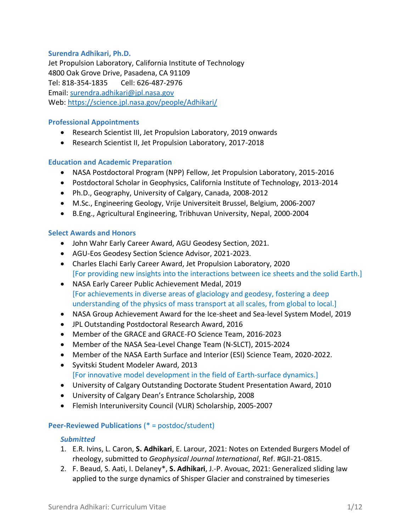#### **Surendra Adhikari, Ph.D.**

Jet Propulsion Laboratory, California Institute of Technology 4800 Oak Grove Drive, Pasadena, CA 91109 Tel: 818-354-1835 Cell: 626-487-2976 Email: [surendra.adhikari@jpl.nasa.gov](mailto:surendra.adhikari@jpl.nasa.gov) Web:<https://science.jpl.nasa.gov/people/Adhikari/>

#### **Professional Appointments**

- Research Scientist III, Jet Propulsion Laboratory, 2019 onwards
- Research Scientist II, Jet Propulsion Laboratory, 2017-2018

#### **Education and Academic Preparation**

- NASA Postdoctoral Program (NPP) Fellow, Jet Propulsion Laboratory, 2015-2016
- Postdoctoral Scholar in Geophysics, California Institute of Technology, 2013-2014
- Ph.D., Geography, University of Calgary, Canada, 2008-2012
- M.Sc., Engineering Geology, Vrije Universiteit Brussel, Belgium, 2006-2007
- B.Eng., Agricultural Engineering, Tribhuvan University, Nepal, 2000-2004

#### **Select Awards and Honors**

- John Wahr Early Career Award, AGU Geodesy Section, 2021.
- AGU-Eos Geodesy Section Science Advisor, 2021-2023.
- Charles Elachi Early Career Award, Jet Propulsion Laboratory, 2020 [For providing new insights into the interactions between ice sheets and the solid Earth.]
- NASA Early Career Public Achievement Medal, 2019 [For achievements in diverse areas of glaciology and geodesy, fostering a deep understanding of the physics of mass transport at all scales, from global to local.]
- NASA Group Achievement Award for the Ice-sheet and Sea-level System Model, 2019
- JPL Outstanding Postdoctoral Research Award, 2016
- Member of the GRACE and GRACE-FO Science Team, 2016-2023
- Member of the NASA Sea-Level Change Team (N-SLCT), 2015-2024
- Member of the NASA Earth Surface and Interior (ESI) Science Team, 2020-2022.
- Syvitski Student Modeler Award, 2013 [For innovative model development in the field of Earth-surface dynamics.]
- University of Calgary Outstanding Doctorate Student Presentation Award, 2010
- University of Calgary Dean's Entrance Scholarship, 2008
- Flemish Interuniversity Council (VLIR) Scholarship, 2005-2007

#### **Peer-Reviewed Publications** (\* = postdoc/student)

#### *Submitted*

- 1. E.R. Ivins, L. Caron, **S. Adhikari**, E. Larour, 2021: Notes on Extended Burgers Model of rheology, submitted to *Geophysical Journal International*, Ref. #GJI-21-0815.
- 2. F. Beaud, S. Aati, I. Delaney\*, **S. Adhikari**, J.-P. Avouac, 2021: Generalized sliding law applied to the surge dynamics of Shisper Glacier and constrained by timeseries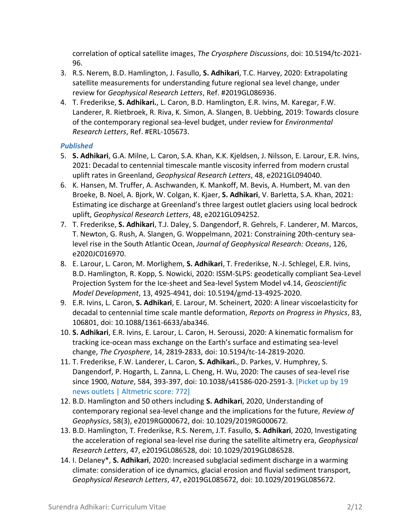correlation of optical satellite images, *The Cryosphere Discussions*, doi: 10.5194/tc-2021- 96.

- 3. R.S. Nerem, B.D. Hamlington, J. Fasullo, **S. Adhikari**, T.C. Harvey, 2020: Extrapolating satellite measurements for understanding future regional sea level change, under review for *Geophysical Research Letters*, Ref. #2019GL086936.
- 4. T. Frederikse, **S. Adhikari.**, L. Caron, B.D. Hamlington, E.R. Ivins, M. Karegar, F.W. Landerer, R. Rietbroek, R. Riva, K. Simon, A. Slangen, B. Uebbing, 2019: Towards closure of the contemporary regional sea-level budget, under review for *Environmental Research Letters*, Ref. #ERL-105673.

## *Published*

- 5. **S. Adhikari**, G.A. Milne, L. Caron, S.A. Khan, K.K. Kjeldsen, J. Nilsson, E. Larour, E.R. Ivins, 2021: Decadal to centennial timescale mantle viscosity inferred from modern crustal uplift rates in Greenland, *Geophysical Research Letters*, 48, e2021GL094040.
- 6. K. Hansen, M. Truffer, A. Aschwanden, K. Mankoff, M. Bevis, A. Humbert, M. van den Broeke, B. Noel, A. Bjork, W. Colgan, K. Kjaer, **S. Adhikari**, V. Barletta, S.A. Khan, 2021: Estimating ice discharge at Greenland's three largest outlet glaciers using local bedrock uplift, *Geophysical Research Letters*, 48, e2021GL094252.
- 7. T. Frederikse, **S. Adhikari**, T.J. Daley, S. Dangendorf, R. Gehrels, F. Landerer, M. Marcos, T. Newton, G. Rush, A. Slangen, G. Woppelmann, 2021: Constraining 20th-century sealevel rise in the South Atlantic Ocean, *Journal of Geophysical Research: Oceans*, 126, e2020JC016970.
- 8. E. Larour, L. Caron, M. Morlighem, **S. Adhikari**, T. Frederikse, N.-J. Schlegel, E.R. Ivins, B.D. Hamlington, R. Kopp, S. Nowicki, 2020: ISSM-SLPS: geodetically compliant Sea-Level Projection System for the Ice-sheet and Sea-level System Model v4.14, *Geoscientific Model Development*, 13, 4925-4941, doi: 10.5194/gmd-13-4925-2020.
- 9. E.R. Ivins, L. Caron, **S. Adhikari**, E. Larour, M. Scheinert, 2020: A linear viscoelasticity for decadal to centennial time scale mantle deformation, *Reports on Progress in Physics*, 83, 106801, doi: 10.1088/1361-6633/aba346.
- 10. **S. Adhikari**, E.R. Ivins, E. Larour, L. Caron, H. Seroussi, 2020: A kinematic formalism for tracking ice-ocean mass exchange on the Earth's surface and estimating sea-level change, *The Cryosphere*, 14, 2819-2833, doi: 10.5194/tc-14-2819-2020.
- 11. T. Frederikse, F.W. Landerer, L. Caron, **S. Adhikari.**, D. Parkes, V. Humphrey, S. Dangendorf, P. Hogarth, L. Zanna, L. Cheng, H. Wu, 2020: The causes of sea-level rise since 1900, *Nature*, 584, 393-397, doi: 10.1038/s41586-020-2591-3. [Picket up by 19 news outlets | Altmetric score: 772]
- 12. B.D. Hamlington and 50 others including **S. Adhikari**, 2020, Understanding of contemporary regional sea-level change and the implications for the future, *Review of Geophysics*, 58(3), e2019RG000672, doi: 10.1029/2019RG000672.
- 13. B.D. Hamlington, T. Frederikse, R.S. Nerem, J.T. Fasullo, **S. Adhikari**, 2020, Investigating the acceleration of regional sea-level rise during the satellite altimetry era, *Geophysical Research Letters*, 47, e2019GL086528, doi: 10.1029/2019GL086528.
- 14. I. Delaney\*, **S. Adhikari**, 2020: Increased subglacial sediment discharge in a warming climate: consideration of ice dynamics, glacial erosion and fluvial sediment transport, *Geophysical Research Letters*, 47, e2019GL085672, doi: 10.1029/2019GL085672.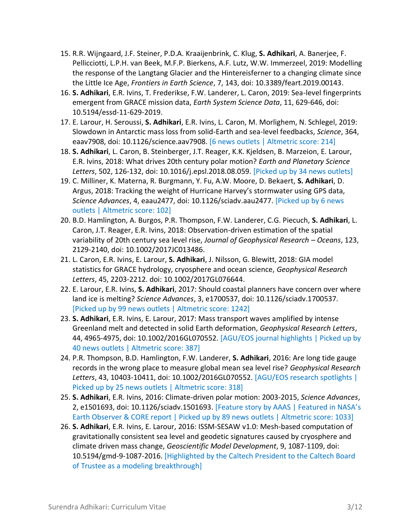- 15. R.R. Wijngaard, J.F. Steiner, P.D.A. Kraaijenbrink, C. Klug, **S. Adhikari**, A. Banerjee, F. Pellicciotti, L.P.H. van Beek, M.F.P. Bierkens, A.F. Lutz, W.W. Immerzeel, 2019: Modelling the response of the Langtang Glacier and the Hintereisferner to a changing climate since the Little Ice Age, *Frontiers in Earth Science*, 7, 143, doi: 10.3389/feart.2019.00143.
- 16. **S. Adhikari**, E.R. Ivins, T. Frederikse, F.W. Landerer, L. Caron, 2019: Sea-level fingerprints emergent from GRACE mission data, *Earth System Science Data*, 11, 629-646, doi: 10.5194/essd-11-629-2019.
- 17. E. Larour, H. Seroussi, **S. Adhikari**, E.R. Ivins, L. Caron, M. Morlighem, N. Schlegel, 2019: Slowdown in Antarctic mass loss from solid-Earth and sea-level feedbacks, *Science*, 364, eaav7908, doi: 10.1126/science.aav7908. [6 news outlets | Altmetric score: 214]
- 18. **S. Adhikari**, L. Caron, B. Steinberger, J.T. Reager, K.K. Kjeldsen, B. Marzeion, E. Larour, E.R. Ivins, 2018: What drives 20th century polar motion? *Earth and Planetary Science Letters*, 502, 126-132, doi: 10.1016/j.epsl.2018.08.059. [Picked up by 34 news outlets]
- 19. C. Milliner, K. Materna, R. Burgmann, Y. Fu, A.W. Moore, D. Bekaert, **S. Adhikari**, D. Argus, 2018: Tracking the weight of Hurricane Harvey's stormwater using GPS data, *Science Advances*, 4, eaau2477, doi: 10.1126/sciadv.aau2477. [Picked up by 6 news outlets | Altmetric score: 102]
- 20. B.D. Hamlington, A. Burgos, P.R. Thompson, F.W. Landerer, C.G. Piecuch, **S. Adhikari**, L. Caron, J.T. Reager, E.R. Ivins, 2018: Observation-driven estimation of the spatial variability of 20th century sea level rise, *Journal of Geophysical Research – Oceans*, 123, 2129-2140, doi: [10.1002/2017JC013486.](https://doi.org/10.1002/2017JC013486)
- 21. L. Caron, E.R. Ivins, E. Larour, **S. Adhikari**, J. Nilsson, G. Blewitt, 2018: GIA model statistics for GRACE hydrology, cryosphere and ocean science, *Geophysical Research Letters*, 45, 2203-2212. doi: 10.1002/2017GL076644.
- 22. E. Larour, E.R. Ivins, **S. Adhikari**, 2017: Should coastal planners have concern over where land ice is melting? *Science Advances*, 3, e1700537, doi: 10.1126/sciadv.1700537. [Picked up by 99 news outlets | Altmetric score: 1242]
- 23. **S. Adhikari**, E.R. Ivins, E. Larour, 2017: Mass transport waves amplified by intense Greenland melt and detected in solid Earth deformation, *Geophysical Research Letters*, 44, 4965-4975, doi: 10.1002/2016GL070552. [AGU/EOS journal highlights | Picked up by 40 news outlets | Altmetric score: 387]
- 24. P.R. Thompson, B.D. Hamlington, F.W. Landerer, **S. Adhikari**, 2016: Are long tide gauge records in the wrong place to measure global mean sea level rise? *Geophysical Research Letters*, 43, 10403-10411, doi: 10.1002/2016GL070552. [AGU/EOS research spotlights | Picked up by 25 news outlets | Altmetric score: 318]
- 25. **S. Adhikari**, E.R. Ivins, 2016: Climate-driven polar motion: 2003-2015, *Science Advances*, 2, e1501693, doi: 10.1126/sciadv.1501693. [Feature story by AAAS | Featured in NASA's Earth Observer & CORE report | Picked up by 89 news outlets | Altmetric score: 1033]
- 26. **S. Adhikari**, E.R. Ivins, E. Larour, 2016: ISSM-SESAW v1.0: Mesh-based computation of gravitationally consistent sea level and geodetic signatures caused by cryosphere and climate driven mass change, *Geoscientific Model Development*, 9, 1087-1109, doi: 10.5194/gmd-9-1087-2016. [Highlighted by the Caltech President to the Caltech Board of Trustee as a modeling breakthrough]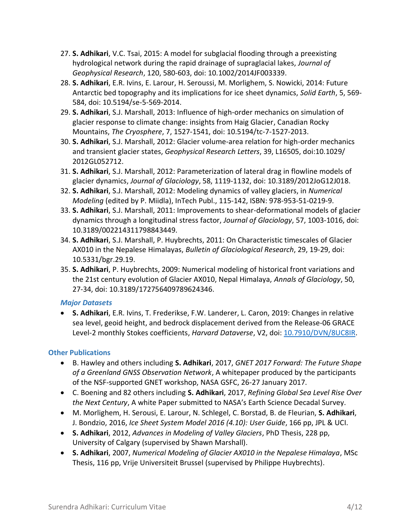- 27. **S. Adhikari**, V.C. Tsai, 2015: A model for subglacial flooding through a preexisting hydrological network during the rapid drainage of supraglacial lakes, *Journal of Geophysical Research*, 120, 580-603, doi: 10.1002/2014JF003339.
- 28. **S. Adhikari**, E.R. Ivins, E. Larour, H. Seroussi, M. Morlighem, S. Nowicki, 2014: Future Antarctic bed topography and its implications for ice sheet dynamics, *Solid Earth*, 5, 569- 584, doi: 10.5194/se-5-569-2014.
- 29. **S. Adhikari**, S.J. Marshall, 2013: Influence of high-order mechanics on simulation of glacier response to climate change: insights from Haig Glacier, Canadian Rocky Mountains, *The Cryosphere*, 7, 1527-1541, doi: 10.5194/tc-7-1527-2013.
- 30. **S. Adhikari**, S.J. Marshall, 2012: Glacier volume-area relation for high-order mechanics and transient glacier states, *Geophysical Research Letters*, 39, L16505, doi:10.1029/ 2012GL052712.
- 31. **S. Adhikari**, S.J. Marshall, 2012: Parameterization of lateral drag in flowline models of glacier dynamics, *Journal of Glaciology*, 58, 1119-1132, doi: 10.3189/2012JoG12J018.
- 32. **S. Adhikari**, S.J. Marshall, 2012: Modeling dynamics of valley glaciers, in *Numerical Modeling* (edited by P. Miidla), InTech Publ., 115-142, ISBN: 978-953-51-0219-9.
- 33. **S. Adhikari**, S.J. Marshall, 2011: Improvements to shear-deformational models of glacier dynamics through a longitudinal stress factor, *Journal of Glaciology*, 57, 1003-1016, doi: 10.3189/002214311798843449.
- 34. **S. Adhikari**, S.J. Marshall, P. Huybrechts, 2011: On Characteristic timescales of Glacier AX010 in the Nepalese Himalayas, *Bulletin of Glaciological Research*, 29, 19-29, doi: 10.5331/bgr.29.19.
- 35. **S. Adhikari**, P. Huybrechts, 2009: Numerical modeling of historical front variations and the 21st century evolution of Glacier AX010, Nepal Himalaya, *Annals of Glaciology*, 50, 27-34, doi: 10.3189/172756409789624346.

## *Major Datasets*

• **S. Adhikari**, E.R. Ivins, T. Frederikse, F.W. Landerer, L. Caron, 2019: Changes in relative sea level, geoid height, and bedrock displacement derived from the Release-06 GRACE Level-2 monthly Stokes coefficients, *Harvard Dataverse*, V2, doi: [10.7910/DVN/8UC8IR.](https://doi.org/10.7910/DVN/8UC8IR)

# **Other Publications**

- B. Hawley and others including **S. Adhikari**, 2017, *GNET 2017 Forward: The Future Shape of a Greenland GNSS Observation Network*, A whitepaper produced by the participants of the NSF-supported GNET workshop, NASA GSFC, 26-27 January 2017.
- C. Boening and 82 others including **S. Adhikari**, 2017, *Refining Global Sea Level Rise Over the Next Century*, A white Paper submitted to NASA's Earth Science Decadal Survey.
- M. Morlighem, H. Serousi, E. Larour, N. Schlegel, C. Borstad, B. de Fleurian, **S. Adhikari**, J. Bondzio, 2016, *Ice Sheet System Model 2016 (4.10): User Guide*, 166 pp, JPL & UCI.
- **S. Adhikari**, 2012, *Advances in Modeling of Valley Glaciers*, PhD Thesis, 228 pp, University of Calgary (supervised by Shawn Marshall).
- **S. Adhikari**, 2007, *Numerical Modeling of Glacier AX010 in the Nepalese Himalaya*, MSc Thesis, 116 pp, Vrije Universiteit Brussel (supervised by Philippe Huybrechts).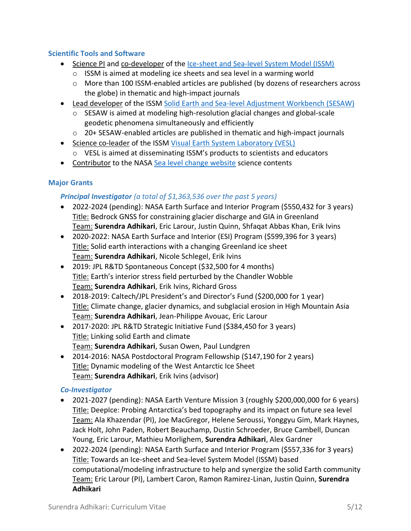#### **Scientific Tools and Software**

- Science PI and co-developer of the [Ice-sheet and Sea-level System Model \(ISSM\)](https://issm.jpl.nasa.gov/)
	- o ISSM is aimed at modeling ice sheets and sea level in a warming world
	- o More than 100 ISSM-enabled articles are published (by dozens of researchers across the globe) in thematic and high-impact journals
- Lead developer of the ISSM [Solid Earth and Sea-level Adjustment Workbench](https://gmd.copernicus.org/articles/9/1087/2016/) (SESAW)
	- $\circ$  SESAW is aimed at modeling high-resolution glacial changes and global-scale geodetic phenomena simultaneously and efficiently
	- o 20+ SESAW-enabled articles are published in thematic and high-impact journals
- Science co-leader of the ISSM [Visual Earth System Laboratory \(VESL\)](https://vesl.jpl.nasa.gov/) o VESL is aimed at disseminating ISSM's products to scientists and educators
- Contributor to the NASA [Sea level change website](https://sealevel.nasa.gov/understanding-sea-level/overview) science contents

## **Major Grants**

## *Principal Investigator (a total of \$1,363,536 over the past 5 years)*

- 2022-2024 (pending): NASA Earth Surface and Interior Program (\$550,432 for 3 years) Title: Bedrock GNSS for constraining glacier discharge and GIA in Greenland Team: **Surendra Adhikari**, Eric Larour, Justin Quinn, Shfaqat Abbas Khan, Erik Ivins
- 2020-2022: NASA Earth Surface and Interior (ESI) Program (\$599,396 for 3 years) Title: Solid earth interactions with a changing Greenland ice sheet Team: **Surendra Adhikari**, Nicole Schlegel, Erik Ivins
- 2019: JPL R&TD Spontaneous Concept (\$32,500 for 4 months) Title: Earth's interior stress field perturbed by the Chandler Wobble Team: **Surendra Adhikari**, Erik Ivins, Richard Gross
- 2018-2019: Caltech/JPL President's and Director's Fund (\$200,000 for 1 year) Title: Climate change, glacier dynamics, and subglacial erosion in High Mountain Asia Team: **Surendra Adhikari**, Jean-Philippe Avouac, Eric Larour
- 2017-2020: JPL R&TD Strategic Initiative Fund (\$384,450 for 3 years) Title: Linking solid Earth and climate Team: **Surendra Adhikari**, Susan Owen, Paul Lundgren
- 2014-2016: NASA Postdoctoral Program Fellowship (\$147,190 for 2 years) Title: Dynamic modeling of the West Antarctic Ice Sheet Team: **Surendra Adhikari**, Erik Ivins (advisor)

## *Co-Investigator*

- 2021-2027 (pending): NASA Earth Venture Mission 3 (roughly \$200,000,000 for 6 years) Title: DeepIce: Probing Antarctica's bed topography and its impact on future sea level Team: Ala Khazendar (PI), Joe MacGregor, Helene Seroussi, Yonggyu Gim, Mark Haynes, Jack Holt, John Paden, Robert Beauchamp, Dustin Schroeder, Bruce Cambell, Duncan Young, Eric Larour, Mathieu Morlighem, **Surendra Adhikari**, Alex Gardner
- 2022-2024 (pending): NASA Earth Surface and Interior Program (\$557,336 for 3 years) Title: Towards an Ice-sheet and Sea-level System Model (ISSM) based computational/modeling infrastructure to help and synergize the solid Earth community Team: Eric Larour (PI), Lambert Caron, Ramon Ramirez-Linan, Justin Quinn, **Surendra Adhikari**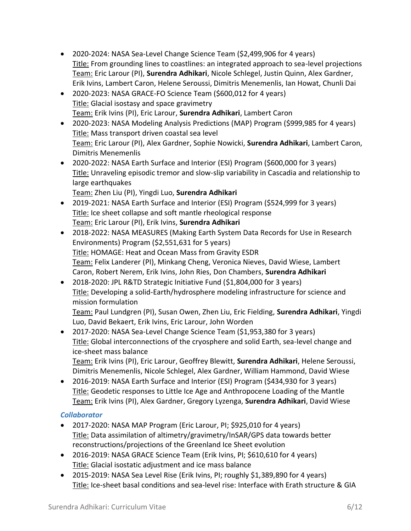- 2020-2024: NASA Sea-Level Change Science Team (\$2,499,906 for 4 years) Title: From grounding lines to coastlines: an integrated approach to sea-level projections Team: Eric Larour (PI), **Surendra Adhikari**, Nicole Schlegel, Justin Quinn, Alex Gardner, Erik Ivins, Lambert Caron, Helene Seroussi, Dimitris Menemenlis, Ian Howat, Chunli Dai
- 2020-2023: NASA GRACE-FO Science Team (\$600,012 for 4 years) Title: Glacial isostasy and space gravimetry Team: Erik Ivins (PI), Eric Larour, **Surendra Adhikari**, Lambert Caron
- 2020-2023: NASA Modeling Analysis Predictions (MAP) Program (\$999,985 for 4 years) Title: Mass transport driven coastal sea level Team: Eric Larour (PI), Alex Gardner, Sophie Nowicki, **Surendra Adhikari**, Lambert Caron, Dimitris Menemenlis
- 2020-2022: NASA Earth Surface and Interior (ESI) Program (\$600,000 for 3 years) Title: Unraveling episodic tremor and slow-slip variability in Cascadia and relationship to large earthquakes Team: Zhen Liu (PI), Yingdi Luo, **Surendra Adhikari**
- 2019-2021: NASA Earth Surface and Interior (ESI) Program (\$524,999 for 3 years) Title: Ice sheet collapse and soft mantle rheological response Team: Eric Larour (PI), Erik Ivins, **Surendra Adhikari**
- 2018-2022: NASA MEASURES (Making Earth System Data Records for Use in Research Environments) Program (\$2,551,631 for 5 years) Title: HOMAGE: Heat and Ocean Mass from Gravity ESDR Team: Felix Landerer (PI), Minkang Cheng, Veronica Nieves, David Wiese, Lambert Caron, Robert Nerem, Erik Ivins, John Ries, Don Chambers, **Surendra Adhikari**
- 2018-2020: JPL R&TD Strategic Initiative Fund (\$1,804,000 for 3 years) Title: Developing a solid-Earth/hydrosphere modeling infrastructure for science and mission formulation

Team: Paul Lundgren (PI), Susan Owen, Zhen Liu, Eric Fielding, **Surendra Adhikari**, Yingdi Luo, David Bekaert, Erik Ivins, Eric Larour, John Worden

• 2017-2020: NASA Sea-Level Change Science Team (\$1,953,380 for 3 years) Title: Global interconnections of the cryosphere and solid Earth, sea-level change and ice-sheet mass balance

Team: Erik Ivins (PI), Eric Larour, Geoffrey Blewitt, **Surendra Adhikari**, Helene Seroussi, Dimitris Menemenlis, Nicole Schlegel, Alex Gardner, William Hammond, David Wiese

• 2016-2019: NASA Earth Surface and Interior (ESI) Program (\$434,930 for 3 years) Title: Geodetic responses to Little Ice Age and Anthropocene Loading of the Mantle Team: Erik Ivins (PI), Alex Gardner, Gregory Lyzenga, **Surendra Adhikari**, David Wiese

# *Collaborator*

- 2017-2020: NASA MAP Program (Eric Larour, PI; \$925,010 for 4 years) Title: Data assimilation of altimetry/gravimetry/InSAR/GPS data towards better reconstructions/projections of the Greenland Ice Sheet evolution
- 2016-2019: NASA GRACE Science Team (Erik Ivins, PI; \$610,610 for 4 years) Title: Glacial isostatic adjustment and ice mass balance
- 2015-2019: NASA Sea Level Rise (Erik Ivins, PI; roughly \$1,389,890 for 4 years) Title: Ice-sheet basal conditions and sea-level rise: Interface with Erath structure & GIA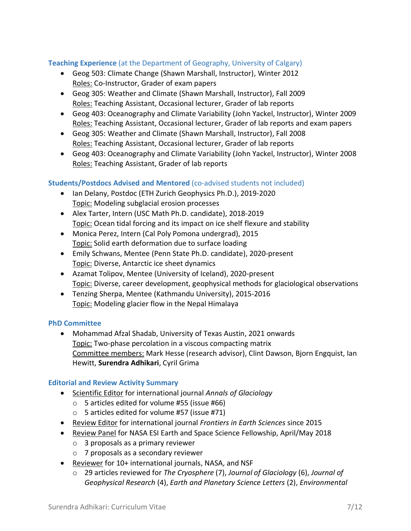## **Teaching Experience** (at the Department of Geography, University of Calgary)

- Geog 503: Climate Change (Shawn Marshall, Instructor), Winter 2012 Roles: Co-Instructor, Grader of exam papers
- Geog 305: Weather and Climate (Shawn Marshall, Instructor), Fall 2009 Roles: Teaching Assistant, Occasional lecturer, Grader of lab reports
- Geog 403: Oceanography and Climate Variability (John Yackel, Instructor), Winter 2009 Roles: Teaching Assistant, Occasional lecturer, Grader of lab reports and exam papers
- Geog 305: Weather and Climate (Shawn Marshall, Instructor), Fall 2008 Roles: Teaching Assistant, Occasional lecturer, Grader of lab reports
- Geog 403: Oceanography and Climate Variability (John Yackel, Instructor), Winter 2008 Roles: Teaching Assistant, Grader of lab reports

## **Students/Postdocs Advised and Mentored** (co-advised students not included)

- Ian Delany, Postdoc (ETH Zurich Geophysics Ph.D.), 2019-2020 Topic: Modeling subglacial erosion processes
- Alex Tarter, Intern (USC Math Ph.D. candidate), 2018-2019 Topic: Ocean tidal forcing and its impact on ice shelf flexure and stability
- Monica Perez, Intern (Cal Poly Pomona undergrad), 2015 Topic: Solid earth deformation due to surface loading
- Emily Schwans, Mentee (Penn State Ph.D. candidate), 2020-present Topic: Diverse, Antarctic ice sheet dynamics
- Azamat Tolipov, Mentee (University of Iceland), 2020-present Topic: Diverse, career development, geophysical methods for glaciological observations
- Tenzing Sherpa, Mentee (Kathmandu University), 2015-2016 Topic: Modeling glacier flow in the Nepal Himalaya

## **PhD Committee**

• Mohammad Afzal Shadab, University of Texas Austin, 2021 onwards Topic: Two-phase percolation in a viscous compacting matrix Committee members: Mark Hesse (research advisor), Clint Dawson, Bjorn Engquist, Ian Hewitt, **Surendra Adhikari**, Cyril Grima

## **Editorial and Review Activity Summary**

- Scientific Editor for international journal *Annals of Glaciology*
	- o 5 articles edited for volume #55 (issue #66)
	- o 5 articles edited for volume #57 (issue #71)
- Review Editor for international journal *Frontiers in Earth Sciences* since 2015
- Review Panel for NASA ESI Earth and Space Science Fellowship, April/May 2018
	- o 3 proposals as a primary reviewer
	- o 7 proposals as a secondary reviewer
- Reviewer for 10+ international journals, NASA, and NSF
	- o 29 articles reviewed for *The Cryosphere* (7), *Journal of Glaciology* (6), *Journal of Geophysical Research* (4), *Earth and Planetary Science Letters* (2), *Environmental*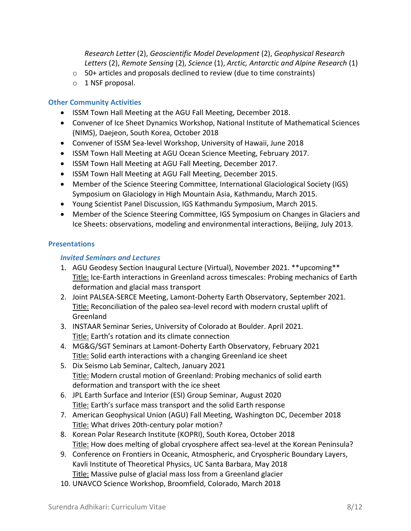*Research Letter* (2), *Geoscientific Model Development* (2), *Geophysical Research Letters* (2), *Remote Sensing* (2), *Science* (1), *Arctic, Antarctic and Alpine Research* (1)

- o 50+ articles and proposals declined to review (due to time constraints)
- o 1 NSF proposal.

#### **Other Community Activities**

- ISSM Town Hall Meeting at the AGU Fall Meeting, December 2018.
- Convener of Ice Sheet Dynamics Workshop, National Institute of Mathematical Sciences (NIMS), Daejeon, South Korea, October 2018
- Convener of ISSM Sea-level Workshop, University of Hawaii, June 2018
- ISSM Town Hall Meeting at AGU Ocean Science Meeting, February 2017.
- ISSM Town Hall Meeting at AGU Fall Meeting, December 2017.
- ISSM Town Hall Meeting at AGU Fall Meeting, December 2015.
- Member of the Science Steering Committee, International Glaciological Society (IGS) Symposium on Glaciology in High Mountain Asia, Kathmandu, March 2015.
- Young Scientist Panel Discussion, IGS Kathmandu Symposium, March 2015.
- Member of the Science Steering Committee, IGS Symposium on Changes in Glaciers and Ice Sheets: observations, modeling and environmental interactions, Beijing, July 2013.

#### **Presentations**

#### *Invited Seminars and Lectures*

- 1. AGU Geodesy Section Inaugural Lecture (Virtual), November 2021. \*\*upcoming\*\* Title: Ice-Earth interactions in Greenland across timescales: Probing mechanics of Earth deformation and glacial mass transport
- 2. Joint PALSEA-SERCE Meeting, Lamont-Doherty Earth Observatory, September 2021. Title: Reconciliation of the paleo sea-level record with modern crustal uplift of Greenland
- 3. INSTAAR Seminar Series, University of Colorado at Boulder. April 2021. Title: Earth's rotation and its climate connection
- 4. MG&G/SGT Seminars at Lamont-Doherty Earth Observatory, February 2021 Title: Solid earth interactions with a changing Greenland ice sheet
- 5. Dix Seismo Lab Seminar, Caltech, January 2021 Title: Modern crustal motion of Greenland: Probing mechanics of solid earth deformation and transport with the ice sheet
- 6. JPL Earth Surface and Interior (ESI) Group Seminar, August 2020 Title: Earth's surface mass transport and the solid Earth response
- 7. American Geophysical Union (AGU) Fall Meeting, Washington DC, December 2018 Title: What drives 20th-century polar motion?
- 8. Korean Polar Research Institute (KOPRI), South Korea, October 2018 Title: How does melting of global cryosphere affect sea-level at the Korean Peninsula?
- 9. Conference on Frontiers in Oceanic, Atmospheric, and Cryospheric Boundary Layers, Kavli Institute of Theoretical Physics, UC Santa Barbara, May 2018 Title: Massive pulse of glacial mass loss from a Greenland glacier
- 10. UNAVCO Science Workshop, Broomfield, Colorado, March 2018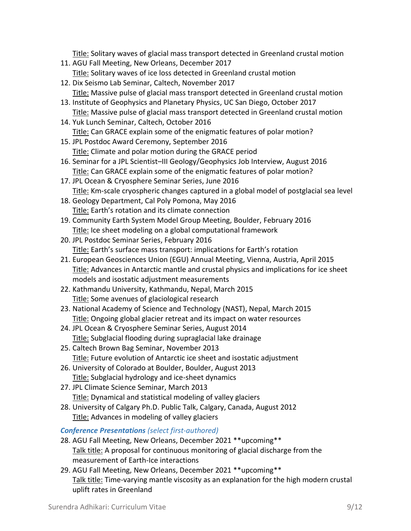Title: Solitary waves of glacial mass transport detected in Greenland crustal motion

- 11. AGU Fall Meeting, New Orleans, December 2017 Title: Solitary waves of ice loss detected in Greenland crustal motion
- 12. Dix Seismo Lab Seminar, Caltech, November 2017 Title: Massive pulse of glacial mass transport detected in Greenland crustal motion
- 13. Institute of Geophysics and Planetary Physics, UC San Diego, October 2017 Title: Massive pulse of glacial mass transport detected in Greenland crustal motion
- 14. Yuk Lunch Seminar, Caltech, October 2016 Title: Can GRACE explain some of the enigmatic features of polar motion?
- 15. JPL Postdoc Award Ceremony, September 2016 Title: Climate and polar motion during the GRACE period
- 16. Seminar for a JPL Scientist–III Geology/Geophysics Job Interview, August 2016 Title: Can GRACE explain some of the enigmatic features of polar motion?
- 17. JPL Ocean & Cryosphere Seminar Series, June 2016 Title: Km-scale cryospheric changes captured in a global model of postglacial sea level
- 18. Geology Department, Cal Poly Pomona, May 2016 Title: Earth's rotation and its climate connection
- 19. Community Earth System Model Group Meeting, Boulder, February 2016 Title: Ice sheet modeling on a global computational framework
- 20. JPL Postdoc Seminar Series, February 2016 Title: Earth's surface mass transport: implications for Earth's rotation
- 21. European Geosciences Union (EGU) Annual Meeting, Vienna, Austria, April 2015 Title: Advances in Antarctic mantle and crustal physics and implications for ice sheet models and isostatic adjustment measurements
- 22. Kathmandu University, Kathmandu, Nepal, March 2015 Title: Some avenues of glaciological research
- 23. National Academy of Science and Technology (NAST), Nepal, March 2015 Title: Ongoing global glacier retreat and its impact on water resources
- 24. JPL Ocean & Cryosphere Seminar Series, August 2014 Title: Subglacial flooding during supraglacial lake drainage
- 25. Caltech Brown Bag Seminar, November 2013 Title: Future evolution of Antarctic ice sheet and isostatic adjustment
- 26. University of Colorado at Boulder, Boulder, August 2013 Title: Subglacial hydrology and ice-sheet dynamics
- 27. JPL Climate Science Seminar, March 2013 Title: Dynamical and statistical modeling of valley glaciers
- 28. University of Calgary Ph.D. Public Talk, Calgary, Canada, August 2012 Title: Advances in modeling of valley glaciers

*Conference Presentations (select first-authored)*

- 28. AGU Fall Meeting, New Orleans, December 2021 \*\*upcoming\*\* Talk title: A proposal for continuous monitoring of glacial discharge from the measurement of Earth-Ice interactions
- 29. AGU Fall Meeting, New Orleans, December 2021 \*\*upcoming\*\* Talk title: Time-varying mantle viscosity as an explanation for the high modern crustal uplift rates in Greenland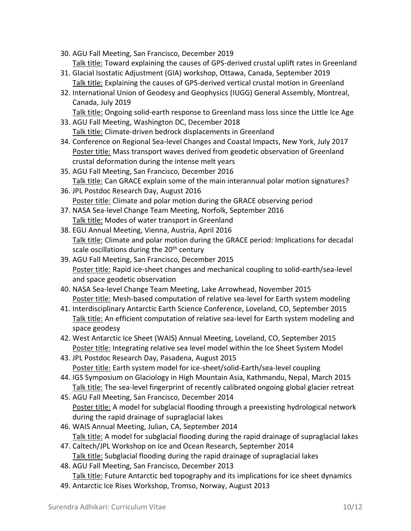- 30. AGU Fall Meeting, San Francisco, December 2019 Talk title: Toward explaining the causes of GPS-derived crustal uplift rates in Greenland
- 31. Glacial Isostatic Adjustment (GIA) workshop, Ottawa, Canada, September 2019 Talk title: Explaining the causes of GPS-derived vertical crustal motion in Greenland
- 32. International Union of Geodesy and Geophysics (IUGG) General Assembly, Montreal, Canada, July 2019
- Talk title: Ongoing solid-earth response to Greenland mass loss since the Little Ice Age 33. AGU Fall Meeting, Washington DC, December 2018
	- Talk title: Climate-driven bedrock displacements in Greenland
- 34. Conference on Regional Sea-level Changes and Coastal Impacts, New York, July 2017 Poster title: Mass transport waves derived from geodetic observation of Greenland crustal deformation during the intense melt years
- 35. AGU Fall Meeting, San Francisco, December 2016 Talk title: Can GRACE explain some of the main interannual polar motion signatures?
- 36. JPL Postdoc Research Day, August 2016 Poster title: Climate and polar motion during the GRACE observing period
- 37. NASA Sea-level Change Team Meeting, Norfolk, September 2016 Talk title: Modes of water transport in Greenland
- 38. EGU Annual Meeting, Vienna, Austria, April 2016 Talk title: Climate and polar motion during the GRACE period: Implications for decadal scale oscillations during the 20<sup>th</sup> century
- 39. AGU Fall Meeting, San Francisco, December 2015 Poster title: Rapid ice-sheet changes and mechanical coupling to solid-earth/sea-level and space geodetic observation
- 40. NASA Sea-level Change Team Meeting, Lake Arrowhead, November 2015 Poster title: Mesh-based computation of relative sea-level for Earth system modeling
- 41. Interdisciplinary Antarctic Earth Science Conference, Loveland, CO, September 2015 Talk title: An efficient computation of relative sea-level for Earth system modeling and space geodesy
- 42. West Antarctic Ice Sheet (WAIS) Annual Meeting, Loveland, CO, September 2015 Poster title: Integrating relative sea level model within the Ice Sheet System Model
- 43. JPL Postdoc Research Day, Pasadena, August 2015 Poster title: Earth system model for ice-sheet/solid-Earth/sea-level coupling
- 44. IGS Symposium on Glaciology in High Mountain Asia, Kathmandu, Nepal, March 2015 Talk title: The sea-level fingerprint of recently calibrated ongoing global glacier retreat
- 45. AGU Fall Meeting, San Francisco, December 2014 Poster title: A model for subglacial flooding through a preexisting hydrological network during the rapid drainage of supraglacial lakes
- 46. WAIS Annual Meeting, Julian, CA, September 2014 Talk title: A model for subglacial flooding during the rapid drainage of supraglacial lakes
- 47. Caltech/JPL Workshop on Ice and Ocean Research, September 2014 Talk title: Subglacial flooding during the rapid drainage of supraglacial lakes
- 48. AGU Fall Meeting, San Francisco, December 2013 Talk title: Future Antarctic bed topography and its implications for ice sheet dynamics
- 49. Antarctic Ice Rises Workshop, Tromso, Norway, August 2013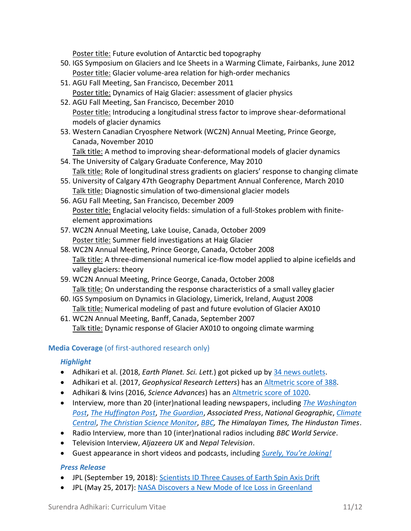Poster title: Future evolution of Antarctic bed topography

- 50. IGS Symposium on Glaciers and Ice Sheets in a Warming Climate, Fairbanks, June 2012 Poster title: Glacier volume-area relation for high-order mechanics
- 51. AGU Fall Meeting, San Francisco, December 2011 Poster title: Dynamics of Haig Glacier: assessment of glacier physics
- 52. AGU Fall Meeting, San Francisco, December 2010 Poster title: Introducing a longitudinal stress factor to improve shear-deformational models of glacier dynamics
- 53. Western Canadian Cryosphere Network (WC2N) Annual Meeting, Prince George, Canada, November 2010 Talk title: A method to improving shear-deformational models of glacier dynamics
- 54. The University of Calgary Graduate Conference, May 2010 Talk title: Role of longitudinal stress gradients on glaciers' response to changing climate
- 55. University of Calgary 47th Geography Department Annual Conference, March 2010 Talk title: Diagnostic simulation of two-dimensional glacier models
- 56. AGU Fall Meeting, San Francisco, December 2009 Poster title: Englacial velocity fields: simulation of a full-Stokes problem with finiteelement approximations
- 57. WC2N Annual Meeting, Lake Louise, Canada, October 2009 Poster title: Summer field investigations at Haig Glacier
- 58. WC2N Annual Meeting, Prince George, Canada, October 2008 Talk title: A three-dimensional numerical ice-flow model applied to alpine icefields and valley glaciers: theory
- 59. WC2N Annual Meeting, Prince George, Canada, October 2008 Talk title: On understanding the response characteristics of a small valley glacier
- 60. IGS Symposium on Dynamics in Glaciology, Limerick, Ireland, August 2008 Talk title: Numerical modeling of past and future evolution of Glacier AX010
- 61. WC2N Annual Meeting, Banff, Canada, September 2007 Talk title: Dynamic response of Glacier AX010 to ongoing climate warming

# **Media Coverage** (of first-authored research only)

# *Highlight*

- Adhikari et al. (2018, *Earth Planet. Sci. Lett.*) got picked up by [34 news outlets.](https://plu.mx/plum/a/?doi=10.1016/j.epsl.2018.08.059&theme=plum-sciencedirect-theme&hideUsage=true)
- Adhikari et al. (2017, *Geophysical Research Letters*) has a[n Altmetric score of 388.](https://wiley.altmetric.com/details/20177539)
- Adhikari & Ivins (2016, *Science Advances*) has an [Altmetric score of 1020.](https://scienceadvances.altmetric.com/details/6563765)
- Interview, more than 20 (inter)national leading newspapers, including *[The Washington](https://www.washingtonpost.com/news/energy-environment/wp/2017/05/25/so-much-water-pulsed-through-a-melting-glacier-that-it-warped-the-earths-crust/)  [Post](https://www.washingtonpost.com/news/energy-environment/wp/2017/05/25/so-much-water-pulsed-through-a-melting-glacier-that-it-warped-the-earths-crust/)*, *[The Huffington Post](https://www.huffpost.com/entry/earth-poles-climate-change_n_5706c52ee4b0537661892db4)*, *[The Guardian](https://www.theguardian.com/environment/2016/apr/09/melting-ice-sheets-changing-the-way-the-earth-wobbles-on-its-axis-says-nasa)*, *Associated Press*, *National Geographic*, *[Climate](https://www.climatecentral.org/news/waves-greenland-ice-melt-21488?utm_content=buffer72d6b&utm_medium=social&utm_source=twitter.com&utm_campaign=buffer)  [Central](https://www.climatecentral.org/news/waves-greenland-ice-melt-21488?utm_content=buffer72d6b&utm_medium=social&utm_source=twitter.com&utm_campaign=buffer)*, *[The Christian Science Monitor](https://www.csmonitor.com/Science/2016/0408/Global-warming-is-changing-our-planet-s-axis-say-scientists)*, *[BBC,](http://www.bbc.com/earth/story/20161205-the-earth-does-not-just-spin-it-also-shakes-and-wobbles) The Himalayan Times, The Hindustan Times*.
- Radio Interview, more than 10 (inter)national radios including *BBC World Service*.
- Television Interview, *Aljazeera UK* and *Nepal Television*.
- Guest appearance in short videos and podcasts, including *Surely, You're [Joking!](https://soundcloud.com/surely-youre-joking/surendra-adhikari)*

## *Press Release*

- JPL (September 19, 2018)[: Scientists ID Three Causes of Earth Spin Axis Drift](https://www.jpl.nasa.gov/news/scientists-id-three-causes-of-earths-spin-axis-drift)
- JPL (May 25, 2017): [NASA Discovers a New Mode of Ice Loss in Greenland](https://www.nasa.gov/feature/jpl/nasa-discovers-a-new-mode-of-ice-loss-in-greenland)